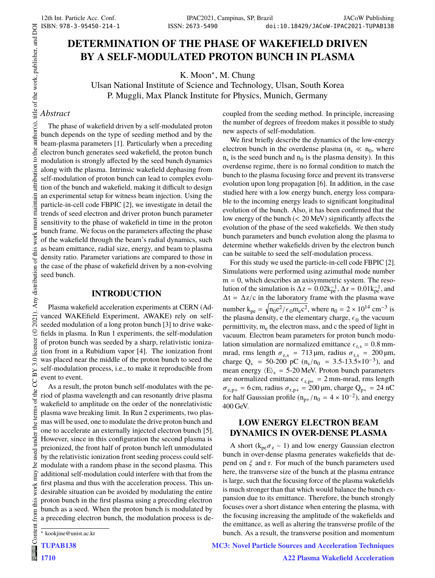# **DETERMINATION OF THE PHASE OF WAKEFIELD DRIVEN BY A SELF-MODULATED PROTON BUNCH IN PLASMA**

K. Moon<sup>∗</sup> , M. Chung

Ulsan National Institute of Science and Technology, Ulsan, South Korea P. Muggli, Max Planck Institute for Physics, Munich, Germany

## *Abstract*

title of the work, publisher, and DOI

author(s).

the  $\mathbf{c}$ 

attribution

maintain

must work:

Any distribution of this

2021).  $@$ 

3.0 licence

**CCBY** 

of the

the i under used ತಿ

The phase of wakefield driven by a self-modulated proton bunch depends on the type of seeding method and by the beam-plasma parameters [1]. Particularly when a preceding electron bunch generates seed wakefield, the proton bunch modulation is strongly affected by the seed bunch dynamics along with the plasma. Intrinsic wakefield dephasing from self-modulation of proton bunch can lead to complex evolution of the bunch and wakefield, making it difficult to design an experimental setup for witness beam injection. Using the particle-in-cell code FBPIC [2], we investigate in detail the trends of seed electron and driver proton bunch parameter sensitivity to the phase of wakefield in time in the proton bunch frame. We focus on the parameters affecting the phase of the wakefield through the beam's radial dynamics, such as beam emittance, radial size, energy, and beam to plasma density ratio. Parameter variations are compared to those in the case of the phase of wakefield driven by a non-evolving seed bunch.

## **INTRODUCTION**

Plasma wakefield acceleration experiments at CERN (Advanced WAKEfield Experiment, AWAKE) rely on selfseeded modulation of a long proton bunch [3] to drive wakefields in plasma. In Run 1 experiments, the self-modulation of proton bunch was seeded by a sharp, relativistic ionization front in a Rubidium vapor [4]. The ionization front was placed near the middle of the proton bunch to seed the self-modulation process, i.e., to make it reproducible from event to event.

As a result, the proton bunch self-modulates with the period of plasma wavelength and can resonantly drive plasma wakefield to amplitude on the order of the nonrelativistic plasma wave breaking limit. In Run 2 experiments, two plasmas will be used, one to modulate the drive proton bunch and one to accelerate an externally injected electron bunch [5]. However, since in this configuration the second plasma is preionized, the front half of proton bunch left unmodulated by the relativistic ionization front seeding process could selfmodulate with a random phase in the second plasma. This additional self-modulation could interfere with that from the first plasma and thus with the acceleration process. This undesirable situation can be avoided by modulating the entire proton bunch in the first plasma using a preceding electron bunch as a seed. When the proton bunch is modulated by a preceding electron bunch, the modulation process is de-

.<br>ශ 1710 coupled from the seeding method. In principle, increasing the number of degrees of freedom makes it possible to study new aspects of self-modulation.

We first briefly describe the dynamics of the low-energy electron bunch in the overdense plasma ( $n_s \ll n_0$ , where  $n_s$  is the seed bunch and  $n_0$  is the plasma density). In this overdense regime, there is no formal condition to match the bunch to the plasma focusing force and prevent its transverse evolution upon long propagation [6]. In addition, in the case studied here with a low energy bunch, energy loss comparable to the incoming energy leads to significant longitudinal evolution of the bunch. Also, it has been confirmed that the low energy of the bunch (< 20 MeV) significantly affects the evolution of the phase of the seed wakefields. We then study bunch parameters and bunch evolution along the plasma to determine whether wakefields driven by the electron bunch can be suitable to seed the self-modulation process.

For this study we used the particle-in-cell code FBPIC [2]. Simulations were performed using azimuthal mode number  $m = 0$ , which describes an axisymmetric system. The resolution of the simulation is  $\Delta z = 0.02 k_{pe}^{-1}$ ,  $\Delta r = 0.01 k_{pe}^{-1}$ , and  $\Delta t = \Delta z/c$  in the laboratory frame with the plasma wave number  $k_{pe} = \sqrt{n_0 e^2/\epsilon_0 m_e c^2}$ , where  $n_0 = 2 \times 10^{14}$  cm<sup>-3</sup> is the plasma density, e the elementary charge,  $\epsilon_0$  the vacuum permittivity, m<sub>e</sub> the electron mass, and c the speed of light in vacuum. Electron beam parameters for proton bunch modulation simulation are normalized emittance  $\epsilon_{\text{r,s}} = 0.8 \text{ mm}$ mrad, rms length  $\sigma_{z,s}$  = 713 µm, radius  $\sigma_{r,s}$  = 200 µm, charge Q<sub>s</sub> = 50-200 pC (n<sub>s</sub>/n<sub>0</sub> = 3.5-13.5×10<sup>-3</sup>), and mean energy  $\langle E \rangle_s = 5{\text -}20$  MeV. Proton bunch parameters are normalized emittance  $\epsilon_{r,p+} = 2$  mm-mrad, rms length  $\sigma_{z,p+} = 6$  cm, radius  $\sigma_{r,p+} = 200 \,\mu\text{m}$ , charge  $Q_{p+} = 24 \text{ nC}$ for half Gaussian profile ( $n_{p+}/n_0 = 4 \times 10^{-2}$ ), and energy 400 GeV.

## **LOW ENERGY ELECTRON BEAM DYNAMICS IN OVER-DENSE PLASMA**

A short ( $k_{pe}\sigma_z \sim 1$ ) and low energy Gaussian electron bunch in over-dense plasma generates wakefields that depend on  $\xi$  and r. For much of the bunch parameters used here, the transverse size of the bunch at the plasma entrance is large, such that the focusing force of the plasma wakefields is much stronger than that which would balance the bunch expansion due to its emittance. Therefore, the bunch strongly focuses over a short distance when entering the plasma, with the focusing increasing the amplitude of the wakefields and the emittance, as well as altering the transverse profile of the bunch. As a result, the transverse position and momentum

MC3: Novel Particle Sources and Acceleration Techniques

work may

this from (

Content

<sup>∗</sup> kookjine@unist.ac.kr

TUPAB138 Content from this work may be used under the terms of the CC BY 3.0 licence (© 2021). Any distribution of this work must maintain attribution to the author(s), title of the work, publisher, and DOI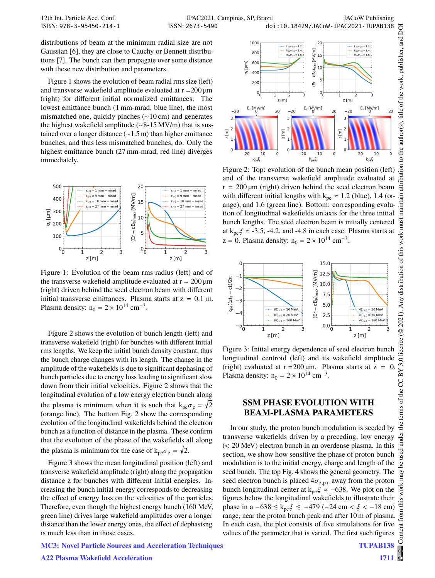12th Int. Particle Acc. Conf. IPAC2021, Campinas, SP, Brazil JACoW Publishing ISSN: 2673-5490 doi:10.18429/JACoW-IPAC2021-TUPAB138

distributions of beam at the minimum radial size are not Gaussian [6], they are close to Cauchy or Bennett distributions [7]. The bunch can then propagate over some distance with these new distribution and parameters.

Figure 1 shows the evolution of beam radial rms size (left) and transverse wakefield amplitude evaluated at  $r = 200 \mu m$ (right) for different initial normalized emittances. The lowest emittance bunch (1 mm-mrad, blue line), the most mismatched one, quickly pinches (∼10 cm) and generates the highest wakefield amplitude (∼8-15 MV/m) that is sustained over a longer distance (∼1.5 m) than higher emittance bunches, and thus less mismatched bunches, do. Only the highest emittance bunch (27 mm-mrad, red line) diverges immediately.



Figure 1: Evolution of the beam rms radius (left) and of the transverse wakefield amplitude evaluated at  $r = 200 \,\text{\textmu m}$ (right) driven behind the seed electron beam with different initial transverse emittances. Plasma starts at  $z = 0.1$  m. Plasma density:  $n_0 = 2 \times 10^{14}$  cm<sup>-3</sup>.

Figure 2 shows the evolution of bunch length (left) and transverse wakefield (right) for bunches with different initial rms lengths. We keep the initial bunch density constant, thus the bunch charge changes with its length. The change in the amplitude of the wakefields is due to significant dephasing of bunch particles due to energy loss leading to significant slow down from their initial velocities. Figure 2 shows that the longitudinal evolution of a low energy electron bunch along the plasma is minimum when it is such that  $k_{pe}\sigma_z = \sqrt{2}$ (orange line). The bottom Fig. 2 show the corresponding evolution of the longitudinal wakefields behind the electron bunch as a function of distance in the plasma. These confirm that the evolution of the phase of the wakefields all along the plasma is minimum for the case of  $k_{pe}\sigma_z = \sqrt{2}$ .

Figure 3 shows the mean longitudinal position (left) and transverse wakefield amplitude (right) along the propagation distance z for bunches with different initial energies. Increasing the bunch initial energy corresponds to decreasing the effect of energy loss on the velocities of the particles. Therefore, even though the highest energy bunch (160 MeV, green line) drives large wakefield amplitudes over a longer distance than the lower energy ones, the effect of dephasisng is much less than in those cases.



Figure 2: Top: evolution of the bunch mean position (left) and of the transverse wakefield amplitude evaluated at  $r = 200 \,\text{\mu m}$  (right) driven behind the seed electron beam with different initial lengths with  $k_{pe} \approx 1.2$  (blue), 1.4 (orange), and 1.6 (green line). Bottom: corresponding evolution of longitudinal wakefields on axis for the three initial bunch lengths. The seed electron beam is initially centered at  $k_{pe} \zeta \approx -3.5$ , -4.2, and -4.8 in each case. Plasma starts at  $z = 0$ . Plasma density:  $n_0 = 2 \times 10^{14}$  cm<sup>-3</sup>.



Figure 3: Initial energy dependence of seed electron bunch longitudinal centroid (left) and its wakefield amplitude (right) evaluated at  $r = 200 \,\text{\mu m}$ . Plasma starts at  $z =$ Plasma density:  $n_0 = 2 \times 10^{14}$  cm<sup>-3</sup>.

## **SSM PHASE EVOLUTION WITH BEAM-PLASMA PARAMETERS**

In our study, the proton bunch modulation is seeded by transverse wakefields driven by a preceding, low energy (< 20 MeV) electron bunch in an overdense plasma. In this section, we show how sensitive the phase of proton bunch modulation is to the initial energy, charge and length of the seed bunch. The top Fig. 4 shows the general geometry. The seed electron bunch is placed  $4\sigma_{z,p+}$  away from the proton bunch longitudinal center at  $k_{pe} \zeta \approx -638$ . We plot on the figures below the longitudinal wakefields to illustrate their phase in a  $-638 \le k_{pe} \xi \le -479$  (-24 cm <  $\xi$  < -18 cm) range, near the proton bunch peak and after 10 m of plasma. In each case, the plot consists of five simulations for five values of the parameter that is varied. The first such figures

#### MC3: Novel Particle Sources and Acceleration Techniques